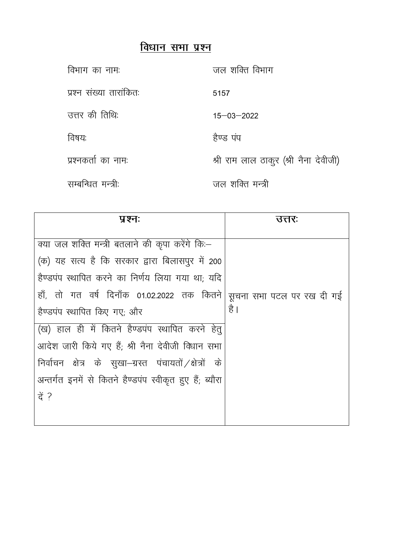## विधान सभा प्रश्न

| विभाग का नाम:           | जल शक्ति विभाग                        |
|-------------------------|---------------------------------------|
| प्रश्न संख्या तारांकितः | 5157                                  |
| उत्तर की तिथि:          | $15 - 03 - 2022$                      |
| विषयः                   | हैण्ड पंप                             |
| प्रश्नकर्ता का नाम:     | श्री राम लाल ठाकूर (श्री नैना देवीजी) |
| सम्बन्धित मन्त्री:      | जल शक्ति मन्त्री                      |

| प्रश्नः                                                  | उत्तरः                    |
|----------------------------------------------------------|---------------------------|
|                                                          |                           |
| क्या जल शक्ति मन्त्री बतलाने की कृपा करेंगे कि:—         |                           |
| (क) यह सत्य है कि सरकार द्वारा बिलासपुर में 200          |                           |
| हैण्डपंप स्थापित करने का निर्णय लिया गया था; यदि         |                           |
| हाँ, तो गत वर्ष दिनाँक 01.02.2022 तक कितने               | सूचना सभा पटल पर रख दी गई |
| हैण्डपंप स्थापित किए गए; और                              | है                        |
| (ख) हाल ही में कितने हैण्डपंप स्थापित करने हेतू          |                           |
| आदेश जारी किये गए हैं; श्री नैना देवीजी विधान सभा        |                           |
| निर्वाचन क्षेत्र के सुखा–ग्रस्त पंचायतों /क्षेत्रों के   |                           |
| अन्तर्गत इनमें से कितने हैण्डपंप स्वीकृत हुए हैं; ब्यौरा |                           |
| ਰੇ ?                                                     |                           |
|                                                          |                           |
|                                                          |                           |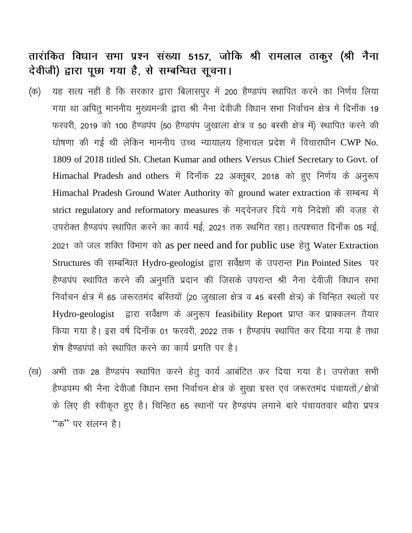## तारांकित विधान सभा प्रश्न संख्या 5157, जोकि श्री रामलाल ठाकुर (श्री नैना देवीजी) द्वारा पूछा गया है, से सम्बन्धित सूचना।

- यह सत्य नहीं है कि सरकार द्वारा बिलासपुर में 200 हैण्डपंप स्थापित करने का निर्णय लिया (क) गया था अपितू माननीय मुख्यमन्त्री द्वारा श्री नैना देवीजी विधान सभा निर्वाचन क्षेत्र में दिनाँक 19 फरवरी, 2019 को 100 हैण्डपंप (50 हैण्डपंप जुखाला क्षेत्र व 50 बस्सी क्षेत्र में) स्थापित करने की घोषणा की गई थी लेकिन माननीय उच्च न्यायालय हिमाचल प्रदेश में विचाराधीन CWP No. 1809 of 2018 titled Sh. Chetan Kumar and others Versus Chief Secretary to Govt. of Himachal Pradesh and others में दिनाँक 22 अक्तूबर, 2018 को हुए निर्णय के अनुरूप Himachal Pradesh Ground Water Authority को ground water extraction के सम्बन्ध में strict regulatory and reformatory measures के मददेनजर दिये गये निदेशों की वजह से उपरोक्त हैण्डपंप स्थापित करने का कार्य मई, 2021 तक स्थगित रहा। तत्पश्चात दिनाँक 05 मई, 2021 को जल शक्ति विभाग को as per need and for public use हेतू Water Extraction Structures की सम्बन्धित Hydro-geologist द्वारा सर्वेक्षण के उपरान्त Pin Pointed Sites पर हैण्डपंप स्थापित करने की अनुमति प्रदान की जिसके उपरान्त श्री नैना देवीजी विधान सभा निर्वाचन क्षेत्र में 65 जरूरतमंद बरितयों (20 जुखाला क्षेत्र व 45 बस्सी क्षेत्र) के चिन्हित स्थलों पर Hydro-geologist द्वारा सर्वेक्षण के अनुरूप feasibility Report प्राप्त कर प्राक्कलन तैयार किया गया है। इस वर्ष दिनाँक 01 फरवरी, 2022 तक 1 हैण्डपंप स्थापित कर दिया गया है तथा शेष हैण्डपंपों को स्थापित करने का कार्य प्रगति पर है।
- अभी तक 28 हैण्डपंप स्थापित करने हेतू कार्य आबंटित कर दिया गया है। उपरोक्त सभी (ख) हैण्डपम्प श्री नैना देवीजो विधान सभा निर्वाचन क्षेत्र के सुखा ग्रस्त एवं जरूरतमंद पंचायतों / क्षेत्रों के लिए ही स्वीकृत हुए है। चिन्हित 65 स्थानों पर हैण्डपंप लगाने बारे पंचायतवार ब्यौरा प्रपत्र "क" पर संलग्न है।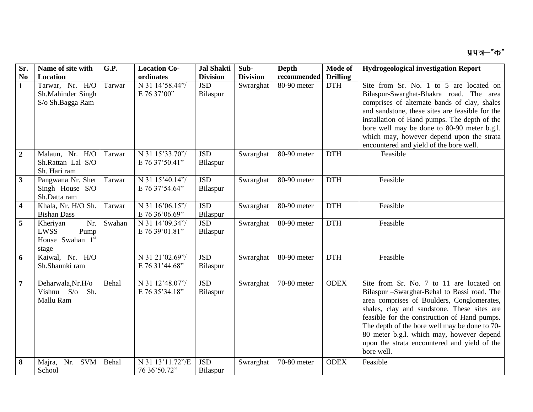| Sr.                     | Name of site with                                            | G.P.   | <b>Location Co-</b>               | <b>Jal Shakti</b>      | Sub-            | <b>Depth</b> | Mode of         | <b>Hydrogeological investigation Report</b>                                                                                                                                                                                                                                                                                                                                                      |
|-------------------------|--------------------------------------------------------------|--------|-----------------------------------|------------------------|-----------------|--------------|-----------------|--------------------------------------------------------------------------------------------------------------------------------------------------------------------------------------------------------------------------------------------------------------------------------------------------------------------------------------------------------------------------------------------------|
| N <sub>0</sub>          | Location                                                     |        | ordinates                         | <b>Division</b>        | <b>Division</b> | recommended  | <b>Drilling</b> |                                                                                                                                                                                                                                                                                                                                                                                                  |
| 1                       | Tarwar, Nr. H/O<br>Sh.Mahinder Singh<br>S/o Sh.Bagga Ram     | Tarwar | N 31 14'58.44"/<br>E 76 37'00"    | <b>JSD</b><br>Bilaspur | Swrarghat       | 80-90 meter  | <b>DTH</b>      | Site from Sr. No. 1 to 5 are located on<br>Bilaspur-Swarghat-Bhakra road. The area<br>comprises of alternate bands of clay, shales<br>and sandstone, these sites are feasible for the<br>installation of Hand pumps. The depth of the<br>bore well may be done to 80-90 meter b.g.l.<br>which may, however depend upon the strata<br>encountered and yield of the bore well.                     |
| $\overline{2}$          | Malaun, Nr. H/O<br>Sh.Rattan Lal S/O<br>Sh. Hari ram         | Tarwar | N 31 15'33.70"/<br>E 76 37'50.41" | <b>JSD</b><br>Bilaspur | Swrarghat       | 80-90 meter  | <b>DTH</b>      | Feasible                                                                                                                                                                                                                                                                                                                                                                                         |
| $\mathbf{3}$            | Pangwana Nr. Sher<br>Singh House S/O<br>Sh.Datta ram         | Tarwar | N 31 15'40.14"/<br>E 76 37'54.64" | <b>JSD</b><br>Bilaspur | Swrarghat       | 80-90 meter  | <b>DTH</b>      | Feasible                                                                                                                                                                                                                                                                                                                                                                                         |
| $\overline{\mathbf{4}}$ | Khala, Nr. H/O Sh.<br><b>Bishan Dass</b>                     | Tarwar | N 31 16'06.15"/<br>E 76 36'06.69" | <b>JSD</b><br>Bilaspur | Swrarghat       | 80-90 meter  | <b>DTH</b>      | Feasible                                                                                                                                                                                                                                                                                                                                                                                         |
| 5                       | Nr.<br>Kheriyan<br>LWSS<br>Pump<br>House Swahan 1st<br>stage | Swahan | N 31 14'09.34"/<br>E 76 39'01.81" | <b>JSD</b><br>Bilaspur | Swrarghat       | 80-90 meter  | <b>DTH</b>      | Feasible                                                                                                                                                                                                                                                                                                                                                                                         |
| 6                       | Kaiwal, Nr. H/O<br>Sh.Shaunki ram                            |        | N 31 21'02.69"/<br>E 76 31'44.68" | <b>JSD</b><br>Bilaspur | Swrarghat       | 80-90 meter  | <b>DTH</b>      | Feasible                                                                                                                                                                                                                                                                                                                                                                                         |
| $\overline{7}$          | Deharwala, Nr. H/o<br>Vishnu S/o<br>Sh.<br>Mallu Ram         | Behal  | N 31 12'48.07"/<br>E 76 35'34.18" | <b>JSD</b><br>Bilaspur | Swrarghat       | 70-80 meter  | <b>ODEX</b>     | Site from Sr. No. 7 to 11 are located on<br>Bilaspur -Swarghat-Behal to Bassi road. The<br>area comprises of Boulders, Conglomerates,<br>shales, clay and sandstone. These sites are<br>feasible for the construction of Hand pumps.<br>The depth of the bore well may be done to 70-<br>80 meter b.g.l. which may, however depend<br>upon the strata encountered and yield of the<br>bore well. |
| 8                       | Majra,<br>Nr.<br>SVM<br>School                               | Behal  | N 31 13'11.72"/E<br>76 36'50.72"  | <b>JSD</b><br>Bilaspur | Swrarghat       | 70-80 meter  | <b>ODEX</b>     | Feasible                                                                                                                                                                                                                                                                                                                                                                                         |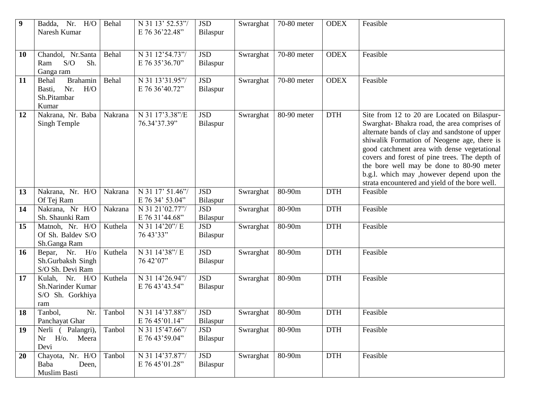| $\boldsymbol{9}$ | Badda, Nr. H/O<br>Naresh Kumar                                           | Behal   | N 31 13' 52.53"/<br>E 76 36'22.48"  | <b>JSD</b><br>Bilaspur | Swrarghat | 70-80 meter | <b>ODEX</b> | Feasible                                                                                                                                                                                                                                                                                                                                                                                                                                |
|------------------|--------------------------------------------------------------------------|---------|-------------------------------------|------------------------|-----------|-------------|-------------|-----------------------------------------------------------------------------------------------------------------------------------------------------------------------------------------------------------------------------------------------------------------------------------------------------------------------------------------------------------------------------------------------------------------------------------------|
|                  |                                                                          |         |                                     |                        |           |             |             |                                                                                                                                                                                                                                                                                                                                                                                                                                         |
| 10               | Chandol, Nr.Santa<br>S/O<br>Sh.<br>Ram<br>Ganga ram                      | Behal   | N 31 12'54.73"/<br>E 76 35'36.70"   | <b>JSD</b><br>Bilaspur | Swrarghat | 70-80 meter | <b>ODEX</b> | Feasible                                                                                                                                                                                                                                                                                                                                                                                                                                |
| 11               | Brahamin<br>Behal<br>H/O<br>Nr.<br>Basti,<br>Sh.Pitambar<br>Kumar        | Behal   | N 31 13'31.95"/<br>E 76 36'40.72"   | <b>JSD</b><br>Bilaspur | Swrarghat | 70-80 meter | <b>ODEX</b> | Feasible                                                                                                                                                                                                                                                                                                                                                                                                                                |
| 12               | Nakrana, Nr. Baba<br>Singh Temple                                        | Nakrana | N 31 17'3.38"/E<br>76.34'37.39"     | <b>JSD</b><br>Bilaspur | Swrarghat | 80-90 meter | <b>DTH</b>  | Site from 12 to 20 are Located on Bilaspur-<br>Swarghat-Bhakra road, the area comprises of<br>alternate bands of clay and sandstone of upper<br>shiwalik Formation of Neogene age, there is<br>good catchment area with dense vegetational<br>covers and forest of pine trees. The depth of<br>the bore well may be done to 80-90 meter<br>b.g.l. which may , however depend upon the<br>strata encountered and yield of the bore well. |
| 13               | Nakrana, Nr. H/O<br>Of Tej Ram                                           | Nakrana | N 31 17' 51.46"/<br>E 76 34' 53.04" | <b>JSD</b><br>Bilaspur | Swrarghat | 80-90m      | <b>DTH</b>  | Feasible                                                                                                                                                                                                                                                                                                                                                                                                                                |
| 14               | Nakrana, Nr H/O<br>Sh. Shaunki Ram                                       | Nakrana | N 31 21'02.77"/<br>E 76 31'44.68"   | <b>JSD</b><br>Bilaspur | Swrarghat | 80-90m      | <b>DTH</b>  | Feasible                                                                                                                                                                                                                                                                                                                                                                                                                                |
| 15               | Matnoh, Nr. H/O<br>Of Sh. Baldev S/O<br>Sh.Ganga Ram                     | Kuthela | N 31 14'20"/E<br>76 43'33"          | <b>JSD</b><br>Bilaspur | Swrarghat | 80-90m      | <b>DTH</b>  | Feasible                                                                                                                                                                                                                                                                                                                                                                                                                                |
| 16               | Bepar, Nr. $H$ / $\overline{O}$<br>Sh.Gurbaksh Singh<br>S/O Sh. Devi Ram | Kuthela | N 31 14'38"/E<br>76 42'07"          | <b>JSD</b><br>Bilaspur | Swrarghat | 80-90m      | <b>DTH</b>  | Feasible                                                                                                                                                                                                                                                                                                                                                                                                                                |
| 17               | Kulah, Nr. H/O<br>Sh.Narinder Kumar<br>S/O Sh. Gorkhiya<br>ram           | Kuthela | N 31 14'26.94"/<br>E 76 43'43.54"   | <b>JSD</b><br>Bilaspur | Swrarghat | 80-90m      | <b>DTH</b>  | Feasible                                                                                                                                                                                                                                                                                                                                                                                                                                |
| 18               | Nr.<br>Tanbol,<br>Panchayat Ghar                                         | Tanbol  | N 31 14'37.88"/<br>E 76 45'01.14"   | <b>JSD</b><br>Bilaspur | Swrarghat | 80-90m      | <b>DTH</b>  | Feasible                                                                                                                                                                                                                                                                                                                                                                                                                                |
| 19               | Nerli (Palangri),<br>$Nr$ $H$ /0.<br>Meera<br>Devi                       | Tanbol  | N 31 15'47.66"/<br>E 76 43'59.04"   | <b>JSD</b><br>Bilaspur | Swrarghat | 80-90m      | <b>DTH</b>  | Feasible                                                                                                                                                                                                                                                                                                                                                                                                                                |
| 20               | Chayota, Nr. H/O<br>Baba<br>Deen,<br>Muslim Basti                        | Tanbol  | N 31 14'37.87"/<br>E 76 45'01.28"   | <b>JSD</b><br>Bilaspur | Swrarghat | 80-90m      | <b>DTH</b>  | Feasible                                                                                                                                                                                                                                                                                                                                                                                                                                |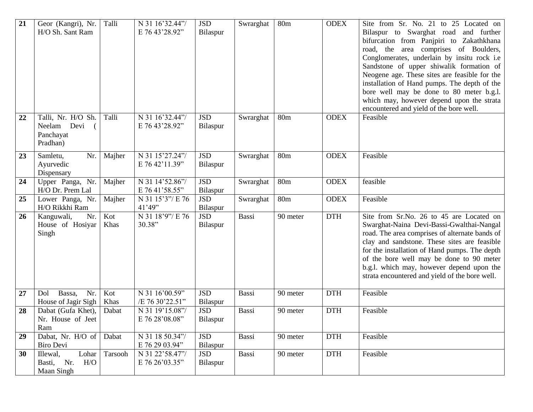| 21 | Geor (Kangri), Nr.<br>H/O Sh. Sant Ram                     | Talli       | N 31 16'32.44"/<br>E 76 43'28.92" | <b>JSD</b><br>Bilaspur | Swrarghat | 80 <sub>m</sub> | <b>ODEX</b> | Site from Sr. No. 21 to 25 Located on<br>Bilaspur to Swarghat road and further<br>bifurcation from Panjpiri to Zakathkhana<br>road, the area comprises of Boulders,<br>Conglomerates, underlain by insitu rock i.e<br>Sandstone of upper shiwalik formation of<br>Neogene age. These sites are feasible for the<br>installation of Hand pumps. The depth of the<br>bore well may be done to 80 meter b.g.l.<br>which may, however depend upon the strata<br>encountered and yield of the bore well. |
|----|------------------------------------------------------------|-------------|-----------------------------------|------------------------|-----------|-----------------|-------------|-----------------------------------------------------------------------------------------------------------------------------------------------------------------------------------------------------------------------------------------------------------------------------------------------------------------------------------------------------------------------------------------------------------------------------------------------------------------------------------------------------|
| 22 | Talli, Nr. H/O Sh.<br>Neelam Devi<br>Panchayat<br>Pradhan) | Talli       | N 31 16'32.44"/<br>E 76 43'28.92" | <b>JSD</b><br>Bilaspur | Swrarghat | 80 <sub>m</sub> | <b>ODEX</b> | Feasible                                                                                                                                                                                                                                                                                                                                                                                                                                                                                            |
| 23 | Samletu,<br>Nr.<br>Ayurvedic<br>Dispensary                 | Majher      | N 31 15'27.24"/<br>E 76 42'11.39" | <b>JSD</b><br>Bilaspur | Swrarghat | 80 <sub>m</sub> | <b>ODEX</b> | Feasible                                                                                                                                                                                                                                                                                                                                                                                                                                                                                            |
| 24 | Upper Panga, Nr.<br>H/O Dr. Prem Lal                       | Majher      | N 31 14'52.86"/<br>E 76 41'58.55" | <b>JSD</b><br>Bilaspur | Swrarghat | 80 <sub>m</sub> | <b>ODEX</b> | feasible                                                                                                                                                                                                                                                                                                                                                                                                                                                                                            |
| 25 | Lower Panga, Nr.<br>H/O Rikkhi Ram                         | Majher      | N 31 15'3"/ E 76<br>41'49''       | <b>JSD</b><br>Bilaspur | Swrarghat | 80 <sub>m</sub> | <b>ODEX</b> | Feasible                                                                                                                                                                                                                                                                                                                                                                                                                                                                                            |
| 26 | Nr.<br>Kanguwali,<br>House of Hosiyar<br>Singh             | Kot<br>Khas | N 31 18'9"/ E 76<br>30.38"        | <b>JSD</b><br>Bilaspur | Bassi     | 90 meter        | <b>DTH</b>  | Site from Sr.No. 26 to 45 are Located on<br>Swarghat-Naina Devi-Bassi-Gwalthai-Nangal<br>road. The area comprises of alternate bands of<br>clay and sandstone. These sites are feasible<br>for the installation of Hand pumps. The depth<br>of the bore well may be done to 90 meter<br>b.g.l. which may, however depend upon the<br>strata encountered and yield of the bore well.                                                                                                                 |
| 27 | Bassa,<br>Nr.<br>Dol<br>House of Jagir Sigh                | Kot<br>Khas | N 31 16'00.59"<br>/E 76 30'22.51" | <b>JSD</b><br>Bilaspur | Bassi     | 90 meter        | <b>DTH</b>  | Feasible                                                                                                                                                                                                                                                                                                                                                                                                                                                                                            |
| 28 | Dabat (Gufa Khet),<br>Nr. House of Jeet<br>Ram             | Dabat       | N 31 19'15.08"/<br>E 76 28'08.08" | <b>JSD</b><br>Bilaspur | Bassi     | 90 meter        | <b>DTH</b>  | Feasible                                                                                                                                                                                                                                                                                                                                                                                                                                                                                            |
| 29 | Dabat, Nr. H/O of<br>Biro Devi                             | Dabat       | N 31 18 50.34"/<br>E 76 29 03.94" | <b>JSD</b><br>Bilaspur | Bassi     | 90 meter        | <b>DTH</b>  | Feasible                                                                                                                                                                                                                                                                                                                                                                                                                                                                                            |
| 30 | Lohar<br>Illewal,<br>Basti, Nr.<br>H/O<br>Maan Singh       | Tarsooh     | N 31 22'58.47"/<br>E 76 26'03.35" | <b>JSD</b><br>Bilaspur | Bassi     | 90 meter        | $DTH$       | Feasible                                                                                                                                                                                                                                                                                                                                                                                                                                                                                            |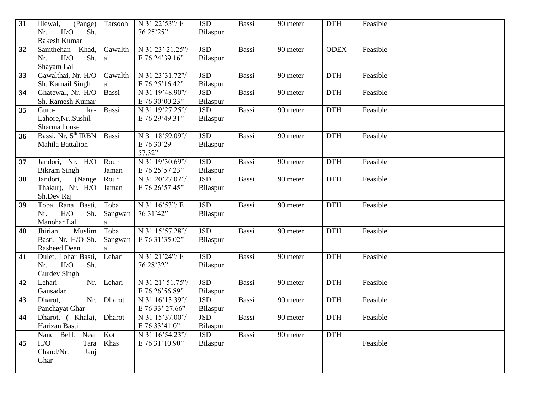| 31 | (Pange)<br>Illewal,                | Tarsooh     | N 31 22'53"/E    | <b>JSD</b> | Bassi        | 90 meter | <b>DTH</b>  | Feasible |
|----|------------------------------------|-------------|------------------|------------|--------------|----------|-------------|----------|
|    | H/O<br>Sh.<br>Nr.                  |             | 76 25'25"        | Bilaspur   |              |          |             |          |
|    | Rakesh Kumar                       |             |                  |            |              |          |             |          |
| 32 | Khad,<br>Samthehan                 | Gawalth     | N 31 23' 21.25"/ | <b>JSD</b> | <b>Bassi</b> | 90 meter | <b>ODEX</b> | Feasible |
|    | H/O<br>Sh.<br>Nr.                  | ai          | E 76 24'39.16"   | Bilaspur   |              |          |             |          |
|    | Shayam Lal                         |             |                  |            |              |          |             |          |
| 33 | Gawalthai, Nr. H/O                 | Gawalth     | N 31 23'31.72"/  | <b>JSD</b> | <b>Bassi</b> | 90 meter | <b>DTH</b>  | Feasible |
|    | Sh. Karnail Singh                  | ai          | E 76 25'16.42"   | Bilaspur   |              |          |             |          |
| 34 | Ghatewal, Nr. H/O                  | Bassi       | N 31 19'48.90"/  | <b>JSD</b> | Bassi        | 90 meter | <b>DTH</b>  | Feasible |
|    | Sh. Ramesh Kumar                   |             | E 76 30'00.23"   | Bilaspur   |              |          |             |          |
| 35 | Guru-<br>ka-                       | Bassi       | N 31 19'27.25"/  | <b>JSD</b> | Bassi        | 90 meter | <b>DTH</b>  | Feasible |
|    | Lahore, Nr Sushil                  |             | E 76 29'49.31"   | Bilaspur   |              |          |             |          |
|    | Sharma house                       |             |                  |            |              |          |             |          |
| 36 | Bassi, Nr. 5 <sup>th</sup> IRBN    | Bassi       | N 31 18'59.09"/  | <b>JSD</b> | <b>Bassi</b> | 90 meter | <b>DTH</b>  | Feasible |
|    | Mahila Battalion                   |             | E 76 30'29       | Bilaspur   |              |          |             |          |
|    |                                    |             | 57.32"           |            |              |          |             |          |
| 37 | Jandori, Nr. H/O                   | Rour        | N 31 19'30.69"/  | <b>JSD</b> | <b>Bassi</b> | 90 meter | <b>DTH</b>  | Feasible |
|    | <b>Bikram Singh</b>                | Jaman       | E 76 25'57.23"   | Bilaspur   |              |          |             |          |
| 38 | Jandori,<br>(Nange                 | Rour        | N 31 20'27.07"/  | <b>JSD</b> | Bassi        | 90 meter | <b>DTH</b>  | Feasible |
|    | Thakur), Nr. H/O                   | Jaman       | E 76 26'57.45"   | Bilaspur   |              |          |             |          |
|    | Sh.Dev Raj                         |             |                  |            |              |          |             |          |
| 39 | Toba Rana Basti,                   | Toba        | N 31 16'53"/E    | <b>JSD</b> | <b>Bassi</b> | 90 meter | <b>DTH</b>  | Feasible |
|    | H/O<br>Sh.<br>Nr.                  | Sangwan     | 76 31'42"        | Bilaspur   |              |          |             |          |
|    | Manohar Lal                        | a           |                  |            |              |          |             |          |
| 40 | Jhirian,<br>Muslim                 | Toba        | N 31 15'57.28"/  | <b>JSD</b> | <b>Bassi</b> | 90 meter | <b>DTH</b>  | Feasible |
|    | Basti, Nr. H/O Sh.<br>Rasheed Deen | Sangwan     | E 76 31'35.02"   | Bilaspur   |              |          |             |          |
| 41 | Dulet, Lohar Basti,                | a<br>Lehari | N 31 21'24"/E    | <b>JSD</b> | <b>Bassi</b> | 90 meter | <b>DTH</b>  | Feasible |
|    | H/O<br>Sh.<br>Nr.                  |             | 76 28'32"        | Bilaspur   |              |          |             |          |
|    | <b>Gurdev Singh</b>                |             |                  |            |              |          |             |          |
| 42 | Lehari<br>Nr.                      | Lehari      | N 31 21' 51.75"/ | <b>JSD</b> | Bassi        | 90 meter | <b>DTH</b>  | Feasible |
|    | Gausadan                           |             | E 76 26'56.89"   | Bilaspur   |              |          |             |          |
| 43 | Nr.<br>Dharot,                     | Dharot      | N 31 16'13.39"/  | <b>JSD</b> | Bassi        | 90 meter | <b>DTH</b>  | Feasible |
|    | Panchayat Ghar                     |             | E 76 33' 27.66"  | Bilaspur   |              |          |             |          |
| 44 | Khala),<br>Dharot, (               | Dharot      | N 31 15'37.00"/  | <b>JSD</b> | Bassi        | 90 meter | <b>DTH</b>  | Feasible |
|    | Harizan Basti                      |             | E 76 33'41.0"    | Bilaspur   |              |          |             |          |
|    | Nand Behl,<br>Near                 | Kot         | N 31 16'54.23"/  | <b>JSD</b> | Bassi        | 90 meter | <b>DTH</b>  |          |
| 45 | H/O<br>Tara                        | Khas        | E 76 31'10.90"   | Bilaspur   |              |          |             | Feasible |
|    | Chand/Nr.<br>Janj                  |             |                  |            |              |          |             |          |
|    | Ghar                               |             |                  |            |              |          |             |          |
|    |                                    |             |                  |            |              |          |             |          |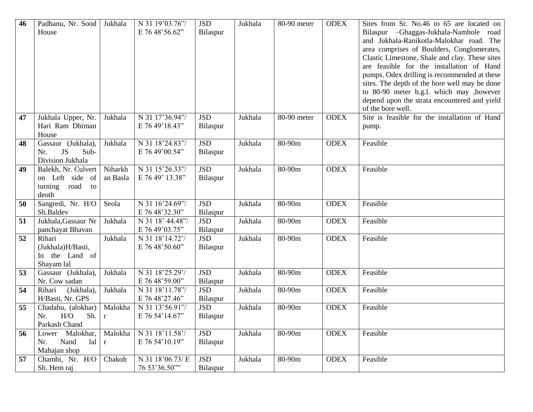| 46 | Padhanu, Nr. Sood<br>House                                            | Jukhala              | N 31 19'03.76"/<br>E 76 48'56.62"  | <b>JSD</b><br>Bilaspur | Jukhala | 80-90 meter | <b>ODEX</b> | Sites from Sr. No.46 to 65 are located on<br>Bilaspur – Ghaggas-Jukhala-Namhole<br>road<br>and Jukhala-Ranikotla-Malokhar road. The<br>area comprises of Boulders, Conglomerates,<br>Clastic Limestone, Shale and clay. These sites<br>are feasible for the installation of Hand<br>pumps. Odex drilling is recommended at these<br>sites. The depth of the bore well may be done<br>to 80-90 meter b.g.l. which may , however<br>depend upon the strata encountered and yield<br>of the bore well. |
|----|-----------------------------------------------------------------------|----------------------|------------------------------------|------------------------|---------|-------------|-------------|-----------------------------------------------------------------------------------------------------------------------------------------------------------------------------------------------------------------------------------------------------------------------------------------------------------------------------------------------------------------------------------------------------------------------------------------------------------------------------------------------------|
| 47 | Jukhala Upper, Nr.<br>Hari Ram Dhiman<br>House                        | Jukhala              | N 31 17'36.94"/<br>E 76 49'18.43"  | <b>JSD</b><br>Bilaspur | Jukhala | 80-90 meter | <b>ODEX</b> | Site is feasible for the installation of Hand<br>pump.                                                                                                                                                                                                                                                                                                                                                                                                                                              |
| 48 | Gassaur (Jukhala),<br>JS<br>Sub-<br>Nr.<br>Division Jukhala           | Jukhala              | N 31 18'24.83"/<br>E 76 49'00.54"  | <b>JSD</b><br>Bilaspur | Jukhala | 80-90m      | <b>ODEX</b> | Feasible                                                                                                                                                                                                                                                                                                                                                                                                                                                                                            |
| 49 | Balekh, Nr. Culvert<br>on Left side of<br>turning road<br>to<br>deoth | Niharkh<br>an Basla  | N 31 15'26.33"/<br>E 76 49' 13.38" | <b>JSD</b><br>Bilaspur | Jukhala | 80-90m      | <b>ODEX</b> | Feasible                                                                                                                                                                                                                                                                                                                                                                                                                                                                                            |
| 50 | Sangredi, Nr. H/O<br>Sh.Baldev                                        | Seola                | N 31 16'24.69"/<br>E 76 48'32.30"  | <b>JSD</b><br>Bilaspur | Jukhala | 80-90m      | <b>ODEX</b> | Feasible                                                                                                                                                                                                                                                                                                                                                                                                                                                                                            |
| 51 | Jukhala, Gassaur Nr<br>panchayat Bhavan                               | Jukhala              | N 31 18' 44.48"/<br>E 76 49'03.75" | <b>JSD</b><br>Bilaspur | Jukhala | 80-90m      | <b>ODEX</b> | Feasible                                                                                                                                                                                                                                                                                                                                                                                                                                                                                            |
| 52 | Rihari<br>(Jukhala)H/Basti,<br>In the Land of<br>Shayam lal           | Jukhala              | N 31 18'14.72'/<br>E 76 48'50.60"  | <b>JSD</b><br>Bilaspur | Jukhala | 80-90m      | <b>ODEX</b> | Feasible                                                                                                                                                                                                                                                                                                                                                                                                                                                                                            |
| 53 | Gassaur (Jukhala),<br>Nr. Cow sadan                                   | Jukhala              | N 31 18'25.29'/<br>E 76 48'59.00"  | <b>JSD</b><br>Bilaspur | Jukhala | 80-90m      | <b>ODEX</b> | Feasible                                                                                                                                                                                                                                                                                                                                                                                                                                                                                            |
| 54 | Rihari<br>(Jukhala),<br>H/Basti, Nr. GPS                              | Jukhala              | N 31 18'11.78"/<br>E 76 48'27.46"  | <b>JSD</b><br>Bilaspur | Jukhala | 80-90m      | <b>ODEX</b> | Feasible                                                                                                                                                                                                                                                                                                                                                                                                                                                                                            |
| 55 | Chadahu, (alokhar)<br>H/O<br>Sh.<br>Nr.<br>Parkash Chand              | Malokha<br>$\vert$ r | N 31 13'56.91"/<br>E 76 54'14.67"  | <b>JSD</b><br>Bilaspur | Jukhala | 80-90m      | <b>ODEX</b> | Feasible                                                                                                                                                                                                                                                                                                                                                                                                                                                                                            |
| 56 | Malokhar,<br>Lower<br>Nand<br>lal<br>Nr.<br>Mahajan shop              | Malokha<br>$\bf r$   | N 31 18'11.58'/<br>E 76 54'10.19"  | <b>JSD</b><br>Bilaspur | Jukhala | 80-90m      | <b>ODEX</b> | Feasible                                                                                                                                                                                                                                                                                                                                                                                                                                                                                            |
| 57 | Chambi, Nr. H/O<br>Sh. Hem raj                                        | Chakoh               | N 31 18'06.73/ E<br>76 53'36.50""  | <b>JSD</b><br>Bilaspur | Jukhala | 80-90m      | <b>ODEX</b> | Feasible                                                                                                                                                                                                                                                                                                                                                                                                                                                                                            |